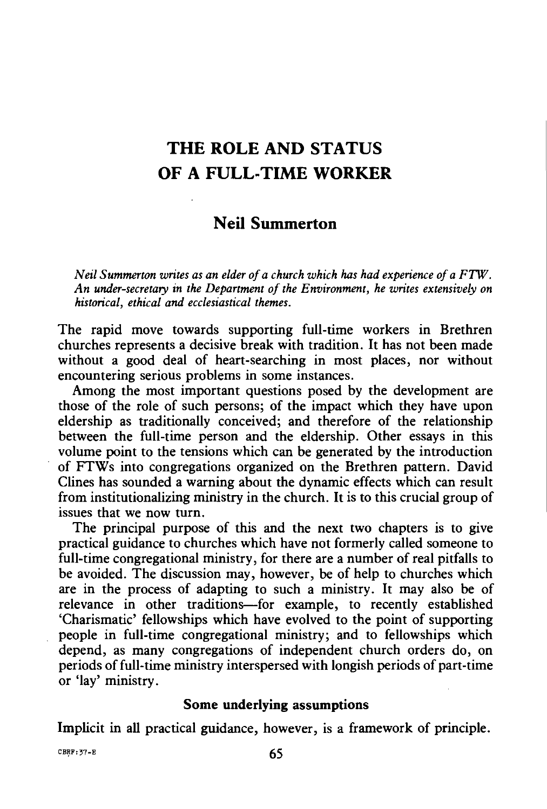# **THE ROLE AND STATUS OF A FULL-TIME WORKER**

# **Neil Summerton**

*Neil Summerton writes as an elder of a church which has had experience of a FTW. An under-secretary in the Department of the Environment, he writes extensively on historical, ethical and ecclesiastical themes.* 

The rapid move towards supporting full-time workers in Brethren churches represents a decisive break with tradition. It has not been made without a good deal of heart-searching in most places, nor without encountering serious problems in some instances.

Among the most important questions posed by the development are those of the role of such persons; of the impact which they have upon eldership as traditionally conceived; and therefore of the relationship between the full-time person and the eldership. Other essays in this volume point to the tensions which can be generated by the introduction of FTWs into congregations organized on the Brethren pattern. David Clines has sounded a warning about the dynamic effects which can result from institutionalizing ministry in the church. It is to this crucial group of issues that we now turn.

The principal purpose of this and the next two chapters is to give practical guidance to churches which have not formerly called someone to full-time congregational ministry, for there are a number of real pitfalls to be avoided. The discussion may, however, be of help to churches which are in the process of adapting to such a ministry. It may also be of relevance in other traditions-for example, to recently established 'Charismatic' fellowships which have evolved to the point of supporting people in full-time congregational ministry; and to fellowships which depend, as many congregations of independent church orders do, on periods of full-time ministry interspersed with longish periods of part-time or 'lay' ministry.

## **Some underlying assumptions**

Implicit in all practical guidance, however, is a framework of principle.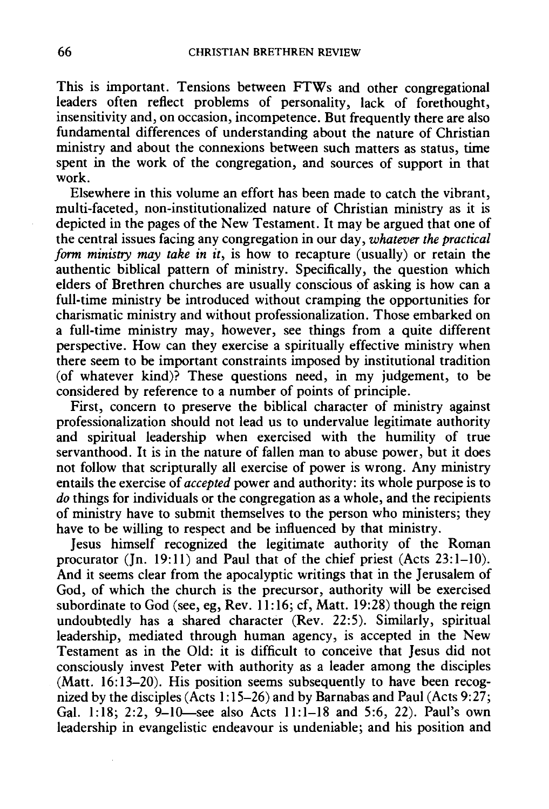This is important. Tensions between FTWs and other congregational leaders often reflect problems of personality, lack of forethought, insensitivity and, on occasion, incompetence. But frequently there are also fundamental differences of understanding about the nature of Christian ministry and about the connexions between such matters as status, time spent in the work of the congregation, and sources of support in that work.

Elsewhere in this volume an effort has been made to catch the vibrant, multi-faceted, non-institutionalized nature of Christian ministry as it is depicted in the pages of the New Testament. It may be argued that one of the central issues facing any congregation in our day, *whatever the practical form ministry may take in it,* is how to recapture (usually) or retain the authentic biblical pattern of ministry. Specifically, the question which elders of Brethren churches are usually conscious of asking is how can a full-time ministry be introduced without cramping the opportunities for charismatic ministry and without professionalization. Those embarked on a full-time ministry may, however, see things from a quite different perspective. How can they exercise a spiritually effective ministry when there seem to be important constraints imposed by institutional tradition (of whatever kind)? These questions need, in my judgement, to be considered by reference to a number of points of principle.

First, concern to preserve the biblical character of ministry against professionalization should not lead us to undervalue legitimate authority and spiritual leadership when exercised with the humility of true servanthood. It is in the nature of fallen man to abuse power, but it does not follow that scripturally all exercise of power is wrong. Any ministry entails the exercise of *accepted* power and authority: its whole purpose is to *do* things for individuals or the congregation as a whole, and the recipients of ministry have to submit themselves to the person who ministers; they have to be willing to respect and be influenced by that ministry.

Jesus himself recognized the legitimate authority of the Roman procurator (Jn. 19:11) and Paul that of the chief priest (Acts 23:1-10). And it seems clear from the apocalyptic writings that in the Jerusalem of God, of which the church is the precursor, authority will be exercised subordinate to God (see, eg, Rev.  $11:16$ ; cf, Matt. 19:28) though the reign undoubtedly has a shared character (Rev. 22:5). Similarly, spiritual leadership, mediated through human agency, is accepted in the New Testament as in the Old: it is difficult to conceive that Jesus did not consciously invest Peter with authority as a leader among the disciples (Matt. 16:13-20). His position seems subsequently to have been recognized by the disciples (Acts 1:15-26) and by Barnabas and Paul (Acts 9:27; Gal. 1:18; 2:2, 9-10-see also Acts 11:1-18 and 5:6, 22). Paul's own leadership in evangelistic endeavour is undeniable; and his position and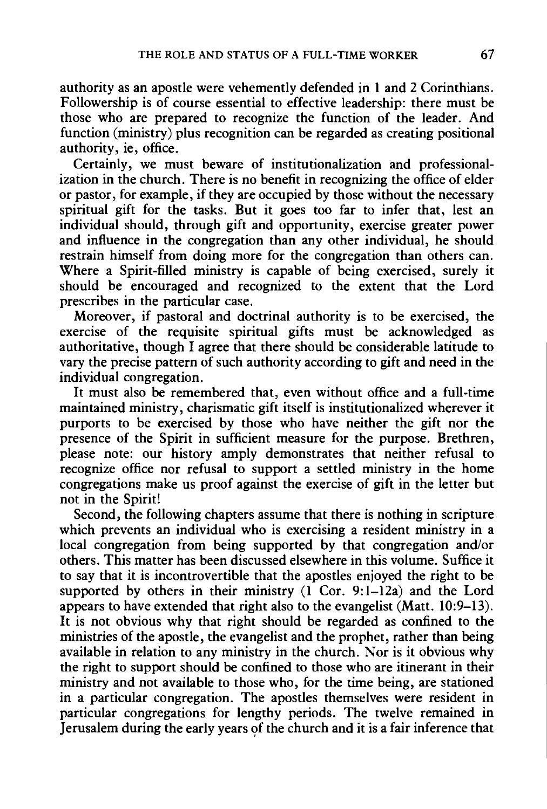authority as an apostle were vehemently defended in 1 and 2 Corinthians. Followership is of course essential to effective leadership: there must be those who are prepared to recognize the function of the leader. And function (ministry) plus recognition can be regarded as creating positional authority, ie, office.

Certainly, we must beware of institutionalization and professionalization in the church. There is no benefit in recognizing the office of elder or pastor, for example, if they are occupied by those without the necessary spiritual gift for the tasks. But it goes too far to infer that, lest an individual should, through gift and opportunity, exercise greater power and influence in the congregation than any other individual, he should restrain himself from doing more for the congregation than others can. Where a Spirit-filled ministry is capable of being exercised, surely it should be encouraged and recognized to the extent that the Lord prescribes in the particular case.

Moreover, if pastoral and doctrinal authority is to be exercised, the exercise of the requisite spiritual gifts must be acknowledged as authoritative, though I agree that there should be considerable latitude to vary the precise pattern of such authority according to gift and need in the individual congregation.

It must also be remembered that, even without office and a full-time maintained ministry, charismatic gift itself is institutionalized wherever it purports to be exercised by those who have neither the gift nor the presence of the Spirit in sufficient measure for the purpose. Brethren, please note: our history amply demonstrates that neither refusal to recognize office nor refusal to support a settled ministry in the home congregations make us proof against the exercise of gift in the letter but not in the Spirit!

Second, the following chapters assume that there is nothing in scripture which prevents an individual who is exercising a resident ministry in a local congregation from being supported by that congregation and/or others. This matter has been discussed elsewhere in this volume. Suffice it to say that it is incontrovertible that the apostles enjoyed the right to be supported by others in their ministry  $(1 \text{ Cor. } 9:1-12a)$  and the Lord appears to have extended that right also to the evangelist (Matt. 10:9-13). It is not obvious why that right should be regarded as confined to the ministries of the apostle, the evangelist and the prophet, rather than being available in relation to any ministry in the church. Nor is it obvious why the right to support should be confined to those who are itinerant in their ministry and not available to those who, for the time being, are stationed in a particular congregation. The apostles themselves were resident in particular congregations for lengthy periods. The twelve remained in Jerusalem during the early years of the church and it is a fair inference that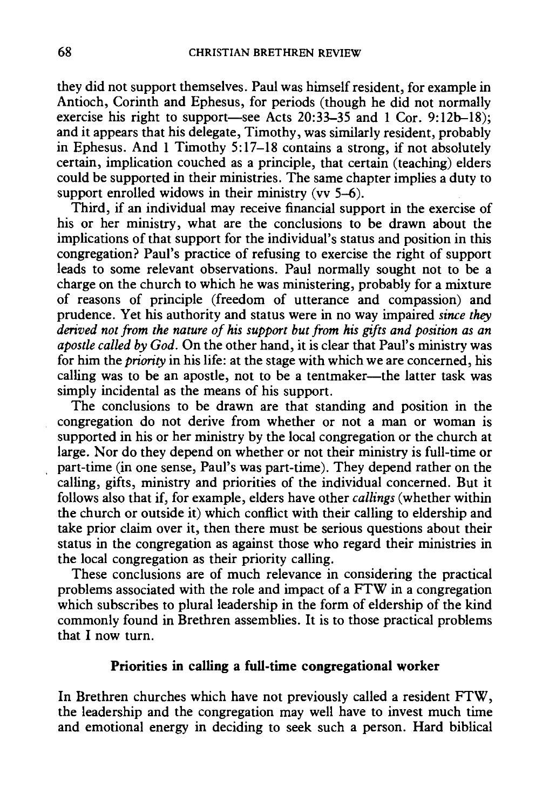they did not support themselves. Paul was himself resident, for example in Antioch, Corinth and Ephesus, for periods (though he did not normally exercise his right to support-see Acts 20:33-35 and 1 Cor. 9:12b-18); and it appears that his delegate, Timothy, was similarly resident, probably in Ephesus. And 1 Timothy 5:17-18 contains a strong, if not absolutely certain, implication couched as a principle, that certain (teaching) elders could be supported in their ministries. The same chapter implies a duty to support enrolled widows in their ministry ( $vv$  5–6).

Third, if an individual may receive financial support in the exercise of his or her ministry, what are the conclusions to be drawn about the implications of that support for the individual's status and position in this congregation? Paul's practice of refusing to exercise the right of support leads to some relevant observations. Paul normally sought not to be a charge on the church to which he was ministering, probably for a mixture of reasons of principle (freedom of utterance and compassion) and prudence. Yet his authority and status were in no way impaired *since they derived not from the nature of his support but from his gifts and position as an apostle called by God.* On the other hand, it is clear that Paul's ministry was for him the *priority* in his life: at the stage with which we are concerned, his calling was to be an apostle, not to be a tentmaker-the latter task was simply incidental as the means of his support.

The conclusions to be drawn are that standing and position in the congregation do not derive from whether or not a man or woman is supported in his or her ministry by the local congregation or the church at large. Nor do they depend on whether or not their ministry is full-time or part-time (in one sense, Paul's was part-time). They depend rather on the calling, gifts, ministry and priorities of the individual concerned. But it follows also that if, for example, elders have other *callings* (whether within the church or outside it) which conflict with their calling to eldership and take prior claim over it, then there must be serious questions about their status in the congregation as against those who regard their ministries in the local congregation as their priority calling.

These conclusions are of much relevance in considering the practical problems associated with the role and impact of a FTW in a congregation which subscribes to plural leadership in the form of eldership of the kind commonly found in Brethren assemblies. It is to those practical problems that I now turn.

# **Priorities in calling a full-time congregational worker**

In Brethren churches which have not previously called a resident FTW, the leadership and the congregation may well have to invest much time and emotional energy in deciding to seek such a person. Hard biblical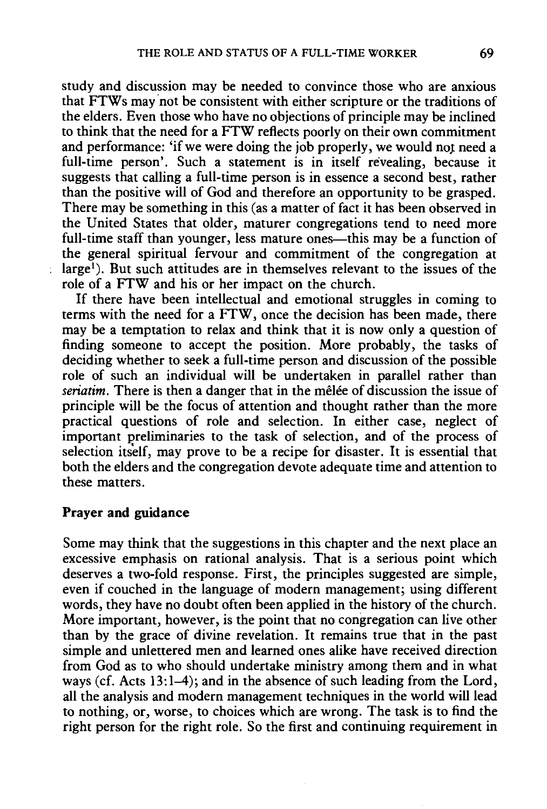study and discussion may be needed to convince those who are anxious that FTWs may 'not be consistent with either scripture or the traditions of the elders. Even those who have no objections of principle may be inclined to think that the need for a FTW reflects poorly on their own commitment and performance: 'if we were doing the job properly, we would not need a full-time person'. Such a statement is in itself revealing, because it suggests that calling a full-time person is in essence a second best, rather than the positive will of God and therefore an opportunity to be grasped. There may be something in this (as a matter of fact it has been observed in the United States that older, maturer congregations tend to need more full-time staff than younger, less mature ones—this may be a function of the general spiritual fervour and commitment of the congregation at large'). But such attitudes are in themselves relevant to the issues of the role of a FTW and his or her impact on the church.

If there have been intellectual and emotional struggles in coming to terms with the need for a FTW, once the decision has been made, there may be a temptation to relax and think that it is now only a question of finding someone to accept the position. More probably, the tasks of deciding whether to seek a full-time person and discussion of the possible role of such an individual will be undertaken in parallel rather than *seriatim*. There is then a danger that in the mêlée of discussion the issue of principle will be the focus of attention and thought rather than the more practical questions of role and selection. In either case, neglect of important preliminaries to the task of selection, and of the process of selection itself, may prove to be a recipe for disaster. It is essential that both the elders and the congregation devote adequate time and attention to these matters.

#### **Prayer and guidance**

Some may think that the suggestions in this chapter and the next place an excessive emphasis on rational analysis. That is a serious point which deserves a two-fold response. First, the principles suggested are simple, even if couched in the language of modern management; using different words, they have no doubt often been applied in the history of the church. More important, however, is the point that no congregation can live other than by the grace of divine revelation. It remains true that in the past simple and unlettered men and learned ones alike have received direction from God as to who should undertake ministry among them and in what ways (cf. Acts 13:1-4); and in the absence of such leading from the Lord, all the analysis and modern management techniques in the world will lead to nothing, or, worse, to choices which are wrong. The task is to find the right person for the right role. So the first and continuing requirement in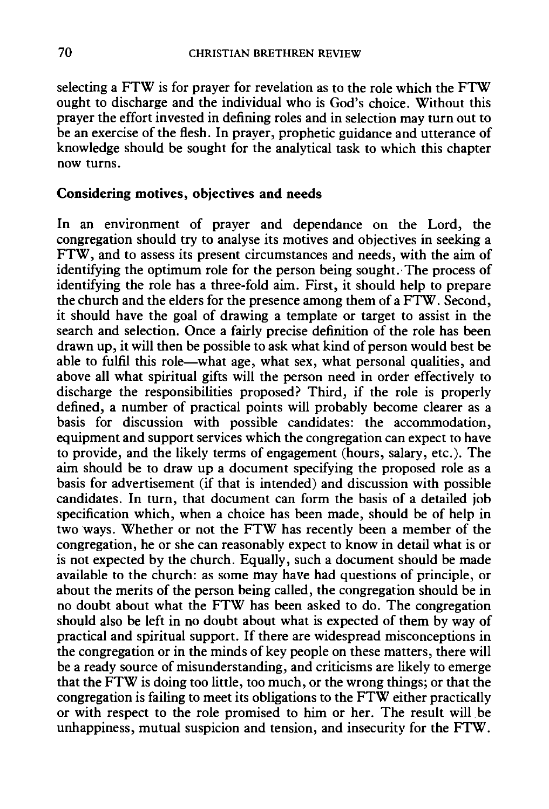selecting a FTW is for prayer for revelation as to the role which the FTW ought to discharge and the individual who is God's choice. Without this prayer the effort invested in defining roles and in selection may turn out to be an exercise of the flesh. In prayer, prophetic guidance and utterance of knowledge should be sought for the analytical task to which this chapter now turns.

# Considering motives, objectives and needs

In an environment of prayer and dependance on the Lord, the congregation should try to analyse its motives and objectives in seeking a FTW, and to assess its present circumstances and needs, with the aim of identifying the optimum role for the person being sought. The process of identifying the role has a three-fold aim. First, it should help to prepare the church and the elders for the presence among them of a FTW. Second, it should have the goal of drawing a template or target to assist in the search and selection. Once a fairly precise definition of the role has been drawn up, it will then be possible to ask what kind of person would best be able to fulfil this role—what age, what sex, what personal qualities, and above all what spiritual gifts will the person need in order effectively to discharge the responsibilities proposed? Third, if the role is properly defined, a number of practical points will probably become clearer as a basis for discussion with possible candidates: the accommodation, equipment and support services which the congregation can expect to have to provide, and the likely terms of engagement (hours, salary, etc.). The aim should be to draw up a document specifying the proposed role as a basis for advertisement (if that is intended) and discussion with possible candidates. In turn, that document can form the basis of a detailed job specification which, when a choice has been made, should be of help in two ways. Whether or not the FTW has recently been a member of the congregation, he or she can reasonably expect to know in detail what is or is not expected by the church. Equally, such a document should be made available to the church: as some may have had questions of principle, or about the merits of the person being called, the congregation should be in no doubt about what the FTW has been asked to do. The congregation should also be left in no doubt about what is expected of them by way of practical and spiritual support. If there are widespread misconceptions in the congregation or in the minds of key people on these matters, there will be a ready source of misunderstanding, and criticisms are likely to emerge that the FTW is doing too little, too much, or the wrong things; or that the congregation is failing to meet its obligations to the FTW either practically or with respect to the role promised to him or her. The result will.be unhappiness, mutual suspicion and tension, and insecurity for the FTW.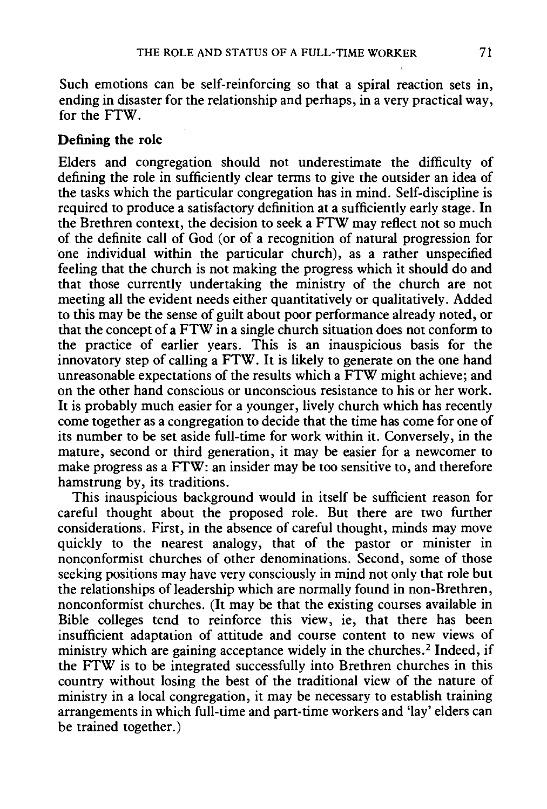Such emotions can be self-reinforcing so that a spiral reaction sets in, ending in disaster for the relationship and perhaps, in a very practical way, for the FTW.

# **Defining the role**

Elders and congregation should not underestimate the difficulty of defining the role in sufficiently clear terms to give the outsider an idea of the tasks which the particular congregation has in mind. Self-discipline is required to produce a satisfactory definition at a sufficiently early stage. In the Brethren context, the decision to seek a FTW may reflect not so much of the definite call of God (or of a recognition of natural progression for one individual within the particular church), as a rather unspecified feeling that the church is not making the progress which it should do and that those currently undertaking the ministry of the church are not meeting all the evident needs either quantitatively or qualitatively. Added to this may be the sense of guilt about poor performance already noted, or that the concept of a FTW in a single church situation does not conform to the practice of earlier years. This is an inauspicious basis for the innovatory step of calling a FTW. It is likely to generate on the one hand unreasonable expectations of the results which a FTW might achieve; and on the other hand conscious or unconscious resistance to his or her work. It is probably much easier for a younger, lively church which has recently come together as a congregation to decide that the time has come for one of its number to be set aside full-time for work within it. Conversely, in the mature, second or third generation, it may be easier for a newcomer to make progress as a FTW: an insider may be too sensitive to, and therefore hamstrung by, its traditions.

This inauspicious background would in itself be sufficient reason for careful thought about the proposed role. But there are two further considerations. First, in the absence of careful thought, minds may move quickly to the nearest analogy, that of the pastor or minister in nonconformist churches of other denominations. Second, some of those seeking positions may have very consciously in mind not only that role but the relationships of leadership which are normally found in non-Brethren, nonconformist churches. (It may be that the existing courses available in Bible colleges tend to reinforce this view, ie, that there has been insufficient adaptation of attitude and course content to new views of ministry which are gaining acceptance widely in the churches.<sup>2</sup> Indeed, if the FTW is to be integrated successfully into Brethren churches in this country without losing the best of the traditional view of the nature of ministry in a local congregation, it may be necessary to establish training arrangements in which full-time and part-time workers and 'lay' elders can be trained together.)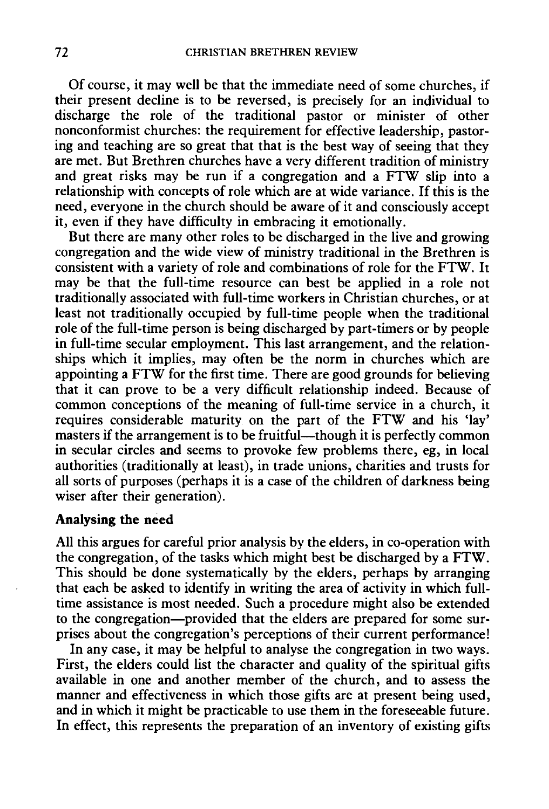Of course, it may well be that the immediate need of some churches, if their present decline is to be reversed, is precisely for an individual to discharge the role of the traditional pastor or minister of other nonconformist churches: the requirement for effective leadership, pastoring and teaching are so great that that is the best way of seeing that they are met. But Brethren churches have a very different tradition of ministry and great risks may be run if a congregation and a FTW slip into a relationship with concepts of role which are at wide variance. If this is the need, everyone in the church should be aware of it and consciously accept it, even if they have difficulty in embracing it emotionally.

But there are many other roles to be discharged in the live and growing congregation and the wide view of ministry traditional in the Brethren is consistent with a variety of role and combinations of role for the FTW. It may be that the full-time resource can best be applied in a role not traditionally associated with full-time workers in Christian churches, or at least not traditionally occupied by full-time people when the traditional role of the full-time person is being discharged by part-timers or by people in full-time secular employment. This last arrangement, and the relationships which it implies, may often be the norm in churches which are appointing a FTW for the first time. There are good grounds for believing that it can prove to be a very difficult relationship indeed. Because of common conceptions of the meaning of full-time service in a church, it requires considerable maturity on the part of the FTW and his 'lay' masters if the arrangement is to be fruitful—though it is perfectly common in secular circles and seems to provoke few problems there, eg, in local authorities (traditionally at least), in trade unions, charities and trusts for all sorts of purposes (perhaps it is a case of the children of darkness being wiser after their generation).

#### **Analysing the need**

All this argues for careful prior analysis by the elders, in co-operation with the congregation, of the tasks which might best be discharged by a FTW. This should be done systematically by the elders, perhaps by arranging that each be asked to identify in writing the area of activity in which fulltime assistance is most needed. Such a procedure might also be extended to the congregation-provided that the elders are prepared for some surprises about the congregation's perceptions of their current performance!

In any case, it may be helpful to analyse the congregation in two ways. First, the elders could list the character and quality of the spiritual gifts available in one and another member of the church, and to assess the manner and effectiveness in which those gifts are at present being used, and in which it might be practicable to use them in the foreseeable future. In effect, this represents the preparation of an inventory of existing gifts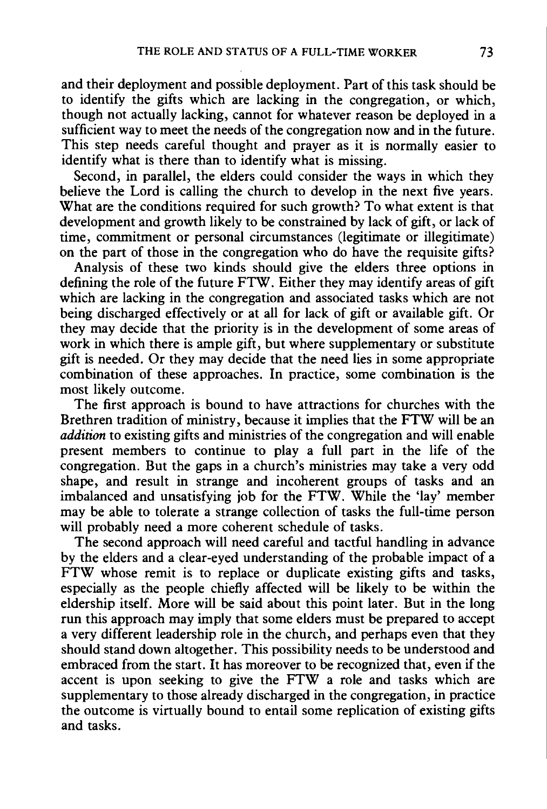and their deployment and possible deployment. Part of this task should be to identify the gifts which are lacking in the congregation, or which, though not actually lacking, cannot for whatever reason be deployed in a sufficient way to meet the needs of the congregation now and in the future. This step needs careful thought and prayer as it is normally easier to identify what is there than to identify what is missing.

Second, in parallel, the elders could consider the ways in which they believe the Lord is calling the church to develop in the next five years. What are the conditions required for such growth? To what extent is that development and growth likely to be constrained by lack of gift, or lack of time, commitment or personal circumstances (legitimate or illegitimate) on the part of those in the congregation who do have the requisite gifts?

Analysis of these two kinds should give the elders three options in defining the role of the future FTW. Either they may identify areas of gift which are lacking in the congregation and associated tasks which are not being discharged effectively or at all for lack of gift or available gift. Or they may decide that the priority is in the development of some areas of work in which there is ample gift, but where supplementary or substitute gift is needed. Or they may decide that the need lies in some appropriate combination of these approaches. In practice, some combination is the most likely outcome.

The first approach is bound to have attractions for churches with the Brethren tradition of ministry, because it implies that the FTW will be an *addition* to existing gifts and ministries of the congregation and will enable present members to continue to play a full part in the life of the congregation. But the gaps in a church's ministries may take a very odd shape, and result in strange and incoherent groups of tasks and an imbalanced and unsatisfying job for the FTW. While the 'lay' member may be able to tolerate a strange collection of tasks the full-time person will probably need a more coherent schedule of tasks.

The second approach will need careful and tactful handling in advance by the elders and a clear-eyed understanding of the probable impact of a FTW whose remit is to replace or duplicate existing gifts and tasks, especially as the people chiefly affected will be likely to be within the eldership itself. More will be said about this point later. But in the long run this approach may imply that some elders must be prepared to accept a very different leadership role in the church, and perhaps even that they should stand down altogether. This possibility needs to be understood and embraced from the start. It has moreover to be recognized that, even if the accent is upon seeking to give the FTW a role and tasks which are supplementary to those already discharged in the congregation, in practice the outcome is virtually bound to entail some replication of existing gifts and tasks.